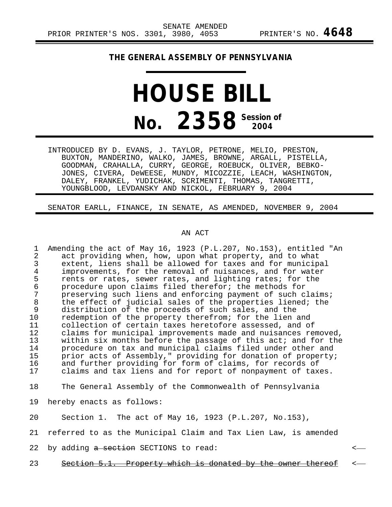## **THE GENERAL ASSEMBLY OF PENNSYLVANIA**

## **HOUSE BILL No.** 2358<sup> Session of</sup>

INTRODUCED BY D. EVANS, J. TAYLOR, PETRONE, MELIO, PRESTON, BUXTON, MANDERINO, WALKO, JAMES, BROWNE, ARGALL, PISTELLA, GOODMAN, CRAHALLA, CURRY, GEORGE, ROEBUCK, OLIVER, BEBKO-JONES, CIVERA, DeWEESE, MUNDY, MICOZZIE, LEACH, WASHINGTON, DALEY, FRANKEL, YUDICHAK, SCRIMENTI, THOMAS, TANGRETTI, YOUNGBLOOD, LEVDANSKY AND NICKOL, FEBRUARY 9, 2004

## SENATOR EARLL, FINANCE, IN SENATE, AS AMENDED, NOVEMBER 9, 2004

## AN ACT

- 1 Amending the act of May 16, 1923 (P.L.207, No.153), entitled "An<br>2 act providing when, how, upon what property, and to what 2 act providing when, how, upon what property, and to what<br>3 extent, liens shall be allowed for taxes and for municip. 3 extent, liens shall be allowed for taxes and for municipal<br>4 improvements, for the removal of nuisances, and for water 4 improvements, for the removal of nuisances, and for water<br>5 rents or rates, sewer rates, and lighting rates; for the 5 rents or rates, sewer rates, and lighting rates; for the<br>6 orocedure upon claims filed therefor; the methods for 6 procedure upon claims filed therefor; the methods for 7 preserving such liens and enforcing payment of such claims;<br>8 the effect of judicial sales of the properties liened; the 8 the effect of judicial sales of the properties liened; the<br>9 distribution of the proceeds of such sales, and the 9 distribution of the proceeds of such sales, and the<br>10 redemption of the property therefrom; for the lien 10 redemption of the property therefrom; for the lien and<br>11 collection of certain taxes heretofore assessed, and o 11 collection of certain taxes heretofore assessed, and of 12 claims for municipal improvements made and nuisances removed,<br>13 vithin six months before the passage of this act; and for the 13 within six months before the passage of this act; and for the<br>14 sprocedure on tax and municipal claims filed under other and 14 procedure on tax and municipal claims filed under other and<br>15 prior acts of Assembly," providing for donation of property 15 prior acts of Assembly," providing for donation of property;<br>16 and further providing for form of claims, for records of 16 and further providing for form of claims, for records of<br>17 alaims and tax liens and for report of nonpayment of tax claims and tax liens and for report of nonpayment of taxes.
- 18 The General Assembly of the Commonwealth of Pennsylvania
- 19 hereby enacts as follows:
- 20 Section 1. The act of May 16, 1923 (P.L.207, No.153),
- 21 referred to as the Municipal Claim and Tax Lien Law, is amended
- 22 by adding <del>a section</del> SECTIONS to read:  $\leftarrow$
- 23 Section 5.1. Property which is donated by the owner thereof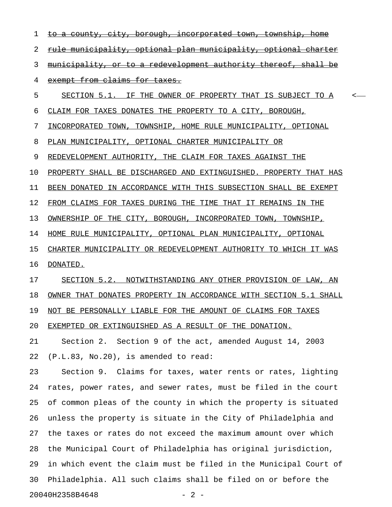1 to a county, city, borough, incorporated town, township 2 rule municipality, optional plan municipality, optional charter 3 municipality, or to a redevelopment authority thereof, shall be 4 exempt from claims for taxes. 5 SECTION 5.1. IF THE OWNER OF PROPERTY THAT IS SUBJECT TO A 6 CLAIM FOR TAXES DONATES THE PROPERTY TO A CITY, BOROUGH, 7 INCORPORATED TOWN, TOWNSHIP, HOME RULE MUNICIPALITY, OPTIONAL 8 PLAN MUNICIPALITY, OPTIONAL CHARTER MUNICIPALITY OR 9 REDEVELOPMENT AUTHORITY, THE CLAIM FOR TAXES AGAINST THE 10 PROPERTY SHALL BE DISCHARGED AND EXTINGUISHED. PROPERTY THAT HAS 11 BEEN DONATED IN ACCORDANCE WITH THIS SUBSECTION SHALL BE EXEMPT 12 FROM CLAIMS FOR TAXES DURING THE TIME THAT IT REMAINS IN THE 13 OWNERSHIP OF THE CITY, BOROUGH, INCORPORATED TOWN, TOWNSHIP, 14 HOME RULE MUNICIPALITY, OPTIONAL PLAN MUNICIPALITY, OPTIONAL 15 CHARTER MUNICIPALITY OR REDEVELOPMENT AUTHORITY TO WHICH IT WAS 16 DONATED. 17 SECTION 5.2. NOTWITHSTANDING ANY OTHER PROVISION OF LAW, AN 18 OWNER THAT DONATES PROPERTY IN ACCORDANCE WITH SECTION 5.1 SHALL 19 NOT BE PERSONALLY LIABLE FOR THE AMOUNT OF CLAIMS FOR TAXES 20 EXEMPTED OR EXTINGUISHED AS A RESULT OF THE DONATION. 21 Section 2. Section 9 of the act, amended August 14, 2003 22 (P.L.83, No.20), is amended to read: 23 Section 9. Claims for taxes, water rents or rates, lighting 24 rates, power rates, and sewer rates, must be filed in the court 25 of common pleas of the county in which the property is situated 26 unless the property is situate in the City of Philadelphia and 27 the taxes or rates do not exceed the maximum amount over which 28 the Municipal Court of Philadelphia has original jurisdiction,

29 in which event the claim must be filed in the Municipal Court of 30 Philadelphia. All such claims shall be filed on or before the

20040H2358B4648 - 2 -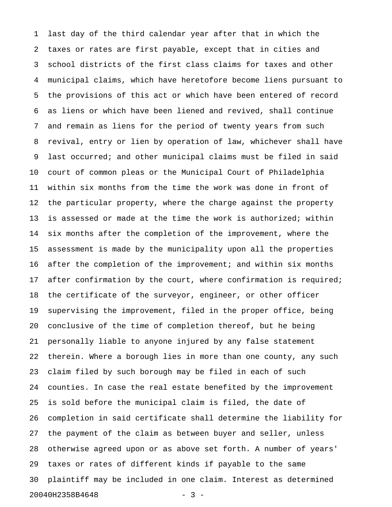1 last day of the third calendar year after that in which the 2 taxes or rates are first payable, except that in cities and 3 school districts of the first class claims for taxes and other 4 municipal claims, which have heretofore become liens pursuant to 5 the provisions of this act or which have been entered of record 6 as liens or which have been liened and revived, shall continue 7 and remain as liens for the period of twenty years from such 8 revival, entry or lien by operation of law, whichever shall have 9 last occurred; and other municipal claims must be filed in said 10 court of common pleas or the Municipal Court of Philadelphia 11 within six months from the time the work was done in front of 12 the particular property, where the charge against the property 13 is assessed or made at the time the work is authorized; within 14 six months after the completion of the improvement, where the 15 assessment is made by the municipality upon all the properties 16 after the completion of the improvement; and within six months 17 after confirmation by the court, where confirmation is required; 18 the certificate of the surveyor, engineer, or other officer 19 supervising the improvement, filed in the proper office, being 20 conclusive of the time of completion thereof, but he being 21 personally liable to anyone injured by any false statement 22 therein. Where a borough lies in more than one county, any such 23 claim filed by such borough may be filed in each of such 24 counties. In case the real estate benefited by the improvement 25 is sold before the municipal claim is filed, the date of 26 completion in said certificate shall determine the liability for 27 the payment of the claim as between buyer and seller, unless 28 otherwise agreed upon or as above set forth. A number of years' 29 taxes or rates of different kinds if payable to the same 30 plaintiff may be included in one claim. Interest as determined 20040H2358B4648 - 3 -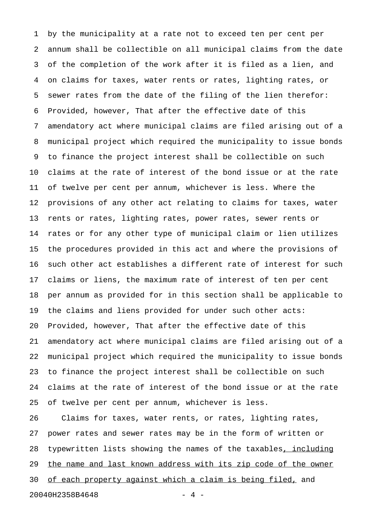1 by the municipality at a rate not to exceed ten per cent per 2 annum shall be collectible on all municipal claims from the date 3 of the completion of the work after it is filed as a lien, and 4 on claims for taxes, water rents or rates, lighting rates, or 5 sewer rates from the date of the filing of the lien therefor: 6 Provided, however, That after the effective date of this 7 amendatory act where municipal claims are filed arising out of a 8 municipal project which required the municipality to issue bonds 9 to finance the project interest shall be collectible on such 10 claims at the rate of interest of the bond issue or at the rate 11 of twelve per cent per annum, whichever is less. Where the 12 provisions of any other act relating to claims for taxes, water 13 rents or rates, lighting rates, power rates, sewer rents or 14 rates or for any other type of municipal claim or lien utilizes 15 the procedures provided in this act and where the provisions of 16 such other act establishes a different rate of interest for such 17 claims or liens, the maximum rate of interest of ten per cent 18 per annum as provided for in this section shall be applicable to 19 the claims and liens provided for under such other acts: 20 Provided, however, That after the effective date of this 21 amendatory act where municipal claims are filed arising out of a 22 municipal project which required the municipality to issue bonds 23 to finance the project interest shall be collectible on such 24 claims at the rate of interest of the bond issue or at the rate 25 of twelve per cent per annum, whichever is less. 26 Claims for taxes, water rents, or rates, lighting rates, 27 power rates and sewer rates may be in the form of written or

28 typewritten lists showing the names of the taxables, including 29 the name and last known address with its zip code of the owner

30 of each property against which a claim is being filed, and

20040H2358B4648 - 4 -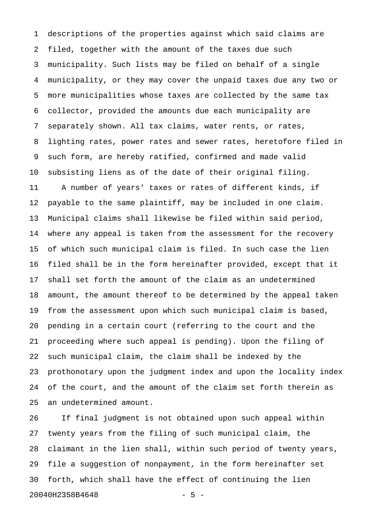1 descriptions of the properties against which said claims are 2 filed, together with the amount of the taxes due such 3 municipality. Such lists may be filed on behalf of a single 4 municipality, or they may cover the unpaid taxes due any two or 5 more municipalities whose taxes are collected by the same tax 6 collector, provided the amounts due each municipality are 7 separately shown. All tax claims, water rents, or rates, 8 lighting rates, power rates and sewer rates, heretofore filed in 9 such form, are hereby ratified, confirmed and made valid 10 subsisting liens as of the date of their original filing. 11 A number of years' taxes or rates of different kinds, if 12 payable to the same plaintiff, may be included in one claim. 13 Municipal claims shall likewise be filed within said period, 14 where any appeal is taken from the assessment for the recovery 15 of which such municipal claim is filed. In such case the lien 16 filed shall be in the form hereinafter provided, except that it 17 shall set forth the amount of the claim as an undetermined 18 amount, the amount thereof to be determined by the appeal taken 19 from the assessment upon which such municipal claim is based, 20 pending in a certain court (referring to the court and the 21 proceeding where such appeal is pending). Upon the filing of 22 such municipal claim, the claim shall be indexed by the 23 prothonotary upon the judgment index and upon the locality index 24 of the court, and the amount of the claim set forth therein as 25 an undetermined amount.

26 If final judgment is not obtained upon such appeal within 27 twenty years from the filing of such municipal claim, the 28 claimant in the lien shall, within such period of twenty years, 29 file a suggestion of nonpayment, in the form hereinafter set 30 forth, which shall have the effect of continuing the lien 20040H2358B4648 - 5 -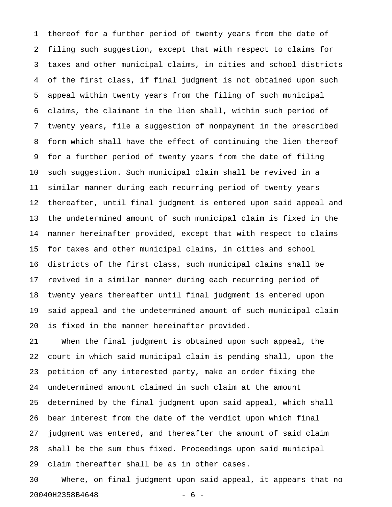1 thereof for a further period of twenty years from the date of 2 filing such suggestion, except that with respect to claims for 3 taxes and other municipal claims, in cities and school districts 4 of the first class, if final judgment is not obtained upon such 5 appeal within twenty years from the filing of such municipal 6 claims, the claimant in the lien shall, within such period of 7 twenty years, file a suggestion of nonpayment in the prescribed 8 form which shall have the effect of continuing the lien thereof 9 for a further period of twenty years from the date of filing 10 such suggestion. Such municipal claim shall be revived in a 11 similar manner during each recurring period of twenty years 12 thereafter, until final judgment is entered upon said appeal and 13 the undetermined amount of such municipal claim is fixed in the 14 manner hereinafter provided, except that with respect to claims 15 for taxes and other municipal claims, in cities and school 16 districts of the first class, such municipal claims shall be 17 revived in a similar manner during each recurring period of 18 twenty years thereafter until final judgment is entered upon 19 said appeal and the undetermined amount of such municipal claim 20 is fixed in the manner hereinafter provided.

21 When the final judgment is obtained upon such appeal, the 22 court in which said municipal claim is pending shall, upon the 23 petition of any interested party, make an order fixing the 24 undetermined amount claimed in such claim at the amount 25 determined by the final judgment upon said appeal, which shall 26 bear interest from the date of the verdict upon which final 27 judgment was entered, and thereafter the amount of said claim 28 shall be the sum thus fixed. Proceedings upon said municipal 29 claim thereafter shall be as in other cases.

30 Where, on final judgment upon said appeal, it appears that no 20040H2358B4648 - 6 -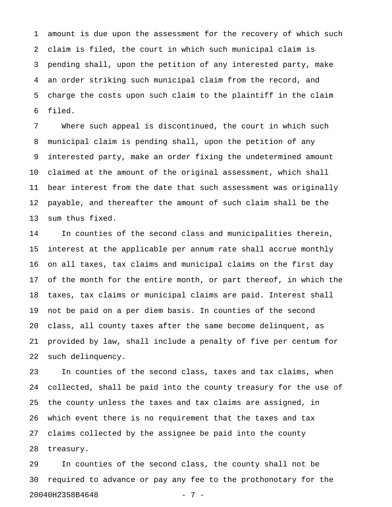1 amount is due upon the assessment for the recovery of which such 2 claim is filed, the court in which such municipal claim is 3 pending shall, upon the petition of any interested party, make 4 an order striking such municipal claim from the record, and 5 charge the costs upon such claim to the plaintiff in the claim 6 filed.

7 Where such appeal is discontinued, the court in which such 8 municipal claim is pending shall, upon the petition of any 9 interested party, make an order fixing the undetermined amount 10 claimed at the amount of the original assessment, which shall 11 bear interest from the date that such assessment was originally 12 payable, and thereafter the amount of such claim shall be the 13 sum thus fixed.

14 In counties of the second class and municipalities therein, 15 interest at the applicable per annum rate shall accrue monthly 16 on all taxes, tax claims and municipal claims on the first day 17 of the month for the entire month, or part thereof, in which the 18 taxes, tax claims or municipal claims are paid. Interest shall 19 not be paid on a per diem basis. In counties of the second 20 class, all county taxes after the same become delinquent, as 21 provided by law, shall include a penalty of five per centum for 22 such delinquency.

23 In counties of the second class, taxes and tax claims, when 24 collected, shall be paid into the county treasury for the use of 25 the county unless the taxes and tax claims are assigned, in 26 which event there is no requirement that the taxes and tax 27 claims collected by the assignee be paid into the county 28 treasury.

29 In counties of the second class, the county shall not be 30 required to advance or pay any fee to the prothonotary for the 20040H2358B4648 - 7 -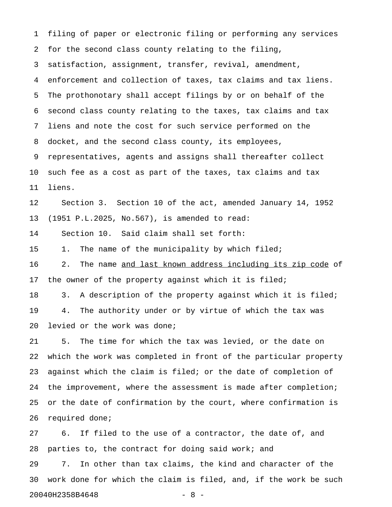1 filing of paper or electronic filing or performing any services 2 for the second class county relating to the filing, 3 satisfaction, assignment, transfer, revival, amendment, 4 enforcement and collection of taxes, tax claims and tax liens. 5 The prothonotary shall accept filings by or on behalf of the 6 second class county relating to the taxes, tax claims and tax 7 liens and note the cost for such service performed on the 8 docket, and the second class county, its employees, 9 representatives, agents and assigns shall thereafter collect 10 such fee as a cost as part of the taxes, tax claims and tax 11 liens. 12 Section 3. Section 10 of the act, amended January 14, 1952 13 (1951 P.L.2025, No.567), is amended to read: 14 Section 10. Said claim shall set forth: 15 1. The name of the municipality by which filed; 16 2. The name and last known address including its zip code of 17 the owner of the property against which it is filed; 18 3. A description of the property against which it is filed; 19 4. The authority under or by virtue of which the tax was 20 levied or the work was done; 21 5. The time for which the tax was levied, or the date on 22 which the work was completed in front of the particular property 23 against which the claim is filed; or the date of completion of 24 the improvement, where the assessment is made after completion; 25 or the date of confirmation by the court, where confirmation is 26 required done; 27 6. If filed to the use of a contractor, the date of, and

28 parties to, the contract for doing said work; and 29 7. In other than tax claims, the kind and character of the 30 work done for which the claim is filed, and, if the work be such 20040H2358B4648 - 8 -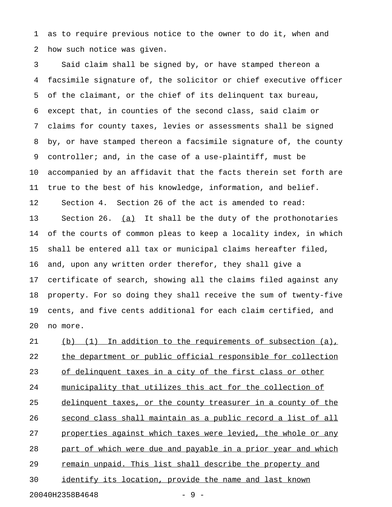1 as to require previous notice to the owner to do it, when and 2 how such notice was given.

3 Said claim shall be signed by, or have stamped thereon a 4 facsimile signature of, the solicitor or chief executive officer 5 of the claimant, or the chief of its delinquent tax bureau, 6 except that, in counties of the second class, said claim or 7 claims for county taxes, levies or assessments shall be signed 8 by, or have stamped thereon a facsimile signature of, the county 9 controller; and, in the case of a use-plaintiff, must be 10 accompanied by an affidavit that the facts therein set forth are 11 true to the best of his knowledge, information, and belief. 12 Section 4. Section 26 of the act is amended to read: 13 Section 26. (a) It shall be the duty of the prothonotaries 14 of the courts of common pleas to keep a locality index, in which 15 shall be entered all tax or municipal claims hereafter filed, 16 and, upon any written order therefor, they shall give a 17 certificate of search, showing all the claims filed against any 18 property. For so doing they shall receive the sum of twenty-five 19 cents, and five cents additional for each claim certified, and 20 no more.

21 (b) (1) In addition to the requirements of subsection (a), 22 the department or public official responsible for collection 23 of delinquent taxes in a city of the first class or other 24 municipality that utilizes this act for the collection of 25 delinquent taxes, or the county treasurer in a county of the 26 second class shall maintain as a public record a list of all 27 properties against which taxes were levied, the whole or any 28 part of which were due and payable in a prior year and which 29 remain unpaid. This list shall describe the property and 30 identify its location, provide the name and last known 20040H2358B4648 - 9 -